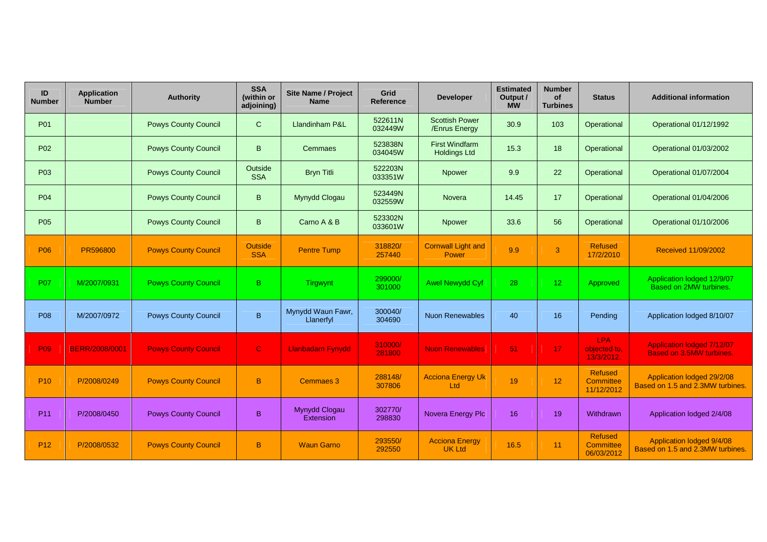| ID<br><b>Number</b> | <b>Application</b><br><b>Number</b> | <b>Authority</b>            | <b>SSA</b><br>(within or<br>adjoining) | <b>Site Name / Project</b><br><b>Name</b> | Grid<br><b>Reference</b> | <b>Developer</b>                             | <b>Estimated</b><br>Output /<br><b>MW</b> | <b>Number</b><br><b>of</b><br><b>Turbines</b> | <b>Status</b>                                    | <b>Additional information</b>                                        |
|---------------------|-------------------------------------|-----------------------------|----------------------------------------|-------------------------------------------|--------------------------|----------------------------------------------|-------------------------------------------|-----------------------------------------------|--------------------------------------------------|----------------------------------------------------------------------|
| P01                 |                                     | <b>Powys County Council</b> | $\mathbf C$                            | <b>Llandinham P&amp;L</b>                 | 522611N<br>032449W       | <b>Scottish Power</b><br>/Enrus Energy       | 30.9                                      | 103                                           | Operational                                      | Operational 01/12/1992                                               |
| P <sub>02</sub>     |                                     | <b>Powys County Council</b> | B                                      | Cemmaes                                   | 523838N<br>034045W       | <b>First Windfarm</b><br><b>Holdings Ltd</b> | 15.3                                      | 18                                            | Operational                                      | Operational 01/03/2002                                               |
| P03                 |                                     | <b>Powys County Council</b> | Outside<br><b>SSA</b>                  | <b>Bryn Titli</b>                         | 522203N<br>033351W       | <b>Npower</b>                                | 9.9                                       | 22                                            | Operational                                      | Operational 01/07/2004                                               |
| <b>P04</b>          |                                     | <b>Powys County Council</b> | B.                                     | Mynydd Clogau                             | 523449N<br>032559W       | Novera                                       | 14.45                                     | 17                                            | Operational                                      | Operational 01/04/2006                                               |
| P05                 |                                     | <b>Powys County Council</b> | B.                                     | Carno A & B                               | 523302N<br>033601W       | Npower                                       | 33.6                                      | 56                                            | Operational                                      | Operational 01/10/2006                                               |
| <b>P06</b>          | PR596800                            | <b>Powys County Council</b> | <b>Outside</b><br><b>SSA</b>           | <b>Pentre Tump</b>                        | 318820/<br>257440        | <b>Cornwall Light and</b><br><b>Power</b>    | 9.9                                       | 3                                             | <b>Refused</b><br>17/2/2010                      | Received 11/09/2002                                                  |
| <b>P07</b>          | M/2007/0931                         | <b>Powys County Council</b> | B.                                     | Tirgwynt                                  | 299000/<br>301000        | <b>Awel Newydd Cyf</b>                       | 28                                        | 12 <sup>2</sup>                               | Approved                                         | Application lodged 12/9/07<br>Based on 2MW turbines.                 |
| P08                 | M/2007/0972                         | <b>Powys County Council</b> | B                                      | Mynydd Waun Fawr,<br>Llanerfyl            | 300040/<br>304690        | <b>Nuon Renewables</b>                       | 40                                        | 16                                            | Pending                                          | Application lodged 8/10/07                                           |
| <b>P09</b>          | <b>BERR/2008/0001</b>               | <b>Powys County Council</b> | $\mathbf C$                            | <b>Llanbadarn Fynydd</b>                  | 310000/<br>281800        | <b>Nuon Renewables</b>                       | 51                                        | 17                                            | <b>LPA</b><br>objected to,<br>13/3/2012.         | <b>Application lodged 7/12/07</b><br><b>Based on 3.5MW turbines.</b> |
| P <sub>10</sub>     | P/2008/0249                         | <b>Powys County Council</b> | B                                      | <b>Cemmaes 3</b>                          | 288148/<br>307806        | <b>Acciona Energy Uk</b><br>Ltd              | 19                                        | 12 <sub>2</sub>                               | <b>Refused</b><br><b>Committee</b><br>11/12/2012 | Application lodged 29/2/08<br>Based on 1.5 and 2.3MW turbines.       |
| P <sub>11</sub>     | P/2008/0450                         | <b>Powys County Council</b> | B                                      | Mynydd Clogau<br>Extension                | 302770/<br>298830        | Novera Energy Plc                            | 16                                        | 19                                            | Withdrawn                                        | Application lodged 2/4/08                                            |
| P <sub>12</sub>     | P/2008/0532                         | <b>Powys County Council</b> | B.                                     | <b>Waun Garno</b>                         | 293550/<br>292550        | <b>Acciona Energy</b><br><b>UK Ltd</b>       | 16.5                                      | 11                                            | <b>Refused</b><br>Committee<br>06/03/2012        | Application lodged 9/4/08<br>Based on 1.5 and 2.3MW turbines.        |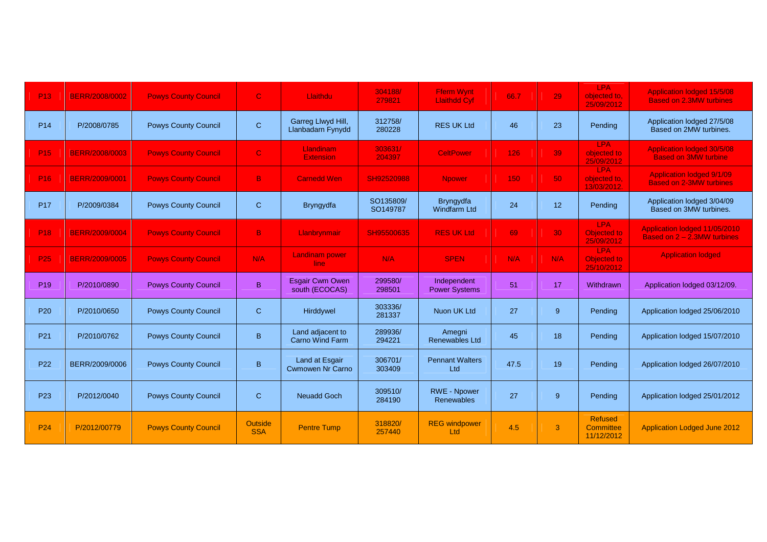| P <sub>13</sub> | BERR/2008/0002        | <b>Powys County Council</b> | $\mathbf C$           | Llaithdu                                         | 304188/<br>279821     | <b>Fferm Wynt</b><br><b>Llaithdd Cyf</b> | 66.7 | 29          | <b>LPA</b><br>objected to,<br>25/09/2012       | <b>Application lodged 15/5/08</b><br><b>Based on 2.3MW turbines</b> |
|-----------------|-----------------------|-----------------------------|-----------------------|--------------------------------------------------|-----------------------|------------------------------------------|------|-------------|------------------------------------------------|---------------------------------------------------------------------|
| P <sub>14</sub> | P/2008/0785           | <b>Powys County Council</b> | $\mathsf C$           | Garreg Llwyd Hill,<br>Llanbadarn Fynydd          | 312758/<br>280228     | <b>RES UK Ltd</b>                        | 46   | 23          | Pending                                        | Application lodged 27/5/08<br>Based on 2MW turbines.                |
| P <sub>15</sub> | <b>BERR/2008/0003</b> | <b>Powys County Council</b> | $\mathbf{C}$          | <b>Llandinam</b><br><b>Extension</b>             | 303631/<br>204397     | <b>CeltPower</b>                         | 126  | 39          | <b>LPA</b><br>objected to<br>25/09/2012        | <b>Application lodged 30/5/08</b><br><b>Based on 3MW turbine</b>    |
| P <sub>16</sub> | BERR/2009/0001        | <b>Powys County Council</b> | B.                    | <b>Carnedd Wen</b>                               | SH92520988            | <b>Npower</b>                            | 150  | 50          | <b>LPA</b><br>objected to.<br>13/03/2012.      | <b>Application lodged 9/1/09</b><br><b>Based on 2-3MW turbines</b>  |
| <b>P17</b>      | P/2009/0384           | <b>Powys County Council</b> | $\mathbf C$           | <b>Bryngydfa</b>                                 | SO135809/<br>SO149787 | Bryngydfa<br><b>Windfarm Ltd</b>         | 24   | 12          | Pending                                        | Application lodged 3/04/09<br>Based on 3MW turbines.                |
| P <sub>18</sub> | BERR/2009/0004        | <b>Powys County Council</b> | $\mathbf{B}$          | Llanbrynmair                                     | SH95500635            | <b>RES UK Ltd</b>                        | 69   | 30          | <b>LPA</b><br><b>Objected to</b><br>25/09/2012 | Application lodged 11/05/2010<br>Based on 2 - 2.3MW turbines        |
| P <sub>25</sub> | <b>BERR/2009/0005</b> | <b>Powys County Council</b> | N/A                   | <b>Landinam power</b><br>line.                   | N/A                   | <b>SPEN</b>                              | N/A  | N/A         | <b>LPA</b><br>Objected to<br>25/10/2012        | <b>Application lodged</b>                                           |
| P <sub>19</sub> | P/2010/0890           | <b>Powys County Council</b> | B.                    | <b>Esgair Cwm Owen</b><br>south (ECOCAS)         | 299580/<br>298501     | Independent<br><b>Power Systems</b>      | 51   | 17          | Withdrawn                                      | Application lodged 03/12/09.                                        |
| P <sub>20</sub> | P/2010/0650           | <b>Powys County Council</b> | $\mathsf{C}$          | Hirddywel                                        | 303336/<br>281337     | Nuon UK Ltd                              | 27   | $9^{\circ}$ | Pending                                        | Application lodged 25/06/2010                                       |
| P <sub>21</sub> | P/2010/0762           | <b>Powys County Council</b> | B.                    | Land adjacent to<br>Carno Wind Farm              | 289936/<br>294221     | Amegni<br>Renewables Ltd                 | 45   | 18          | Pending                                        | Application lodged 15/07/2010                                       |
| P <sub>22</sub> | BERR/2009/0006        | <b>Powys County Council</b> | B.                    | <b>Land at Esgair</b><br><b>Cwmowen Nr Carno</b> | 306701/<br>303409     | <b>Pennant Walters</b><br>Ltd            | 47.5 | 19          | Pending                                        | Application lodged 26/07/2010                                       |
| P <sub>23</sub> | P/2012/0040           | <b>Powys County Council</b> | $\mathbf{C}$          | Neuadd Goch                                      | 309510/<br>284190     | <b>RWE - Npower</b><br>Renewables        | 27   | 9           | Pending                                        | Application lodged 25/01/2012                                       |
| P <sub>24</sub> | P/2012/00779          | <b>Powys County Council</b> | Outside<br><b>SSA</b> | <b>Pentre Tump</b>                               | 318820/<br>257440     | <b>REG</b> windpower<br><b>Ltd</b>       | 4.5  | 3           | <b>Refused</b><br>Committee<br>11/12/2012      | <b>Application Lodged June 2012</b>                                 |